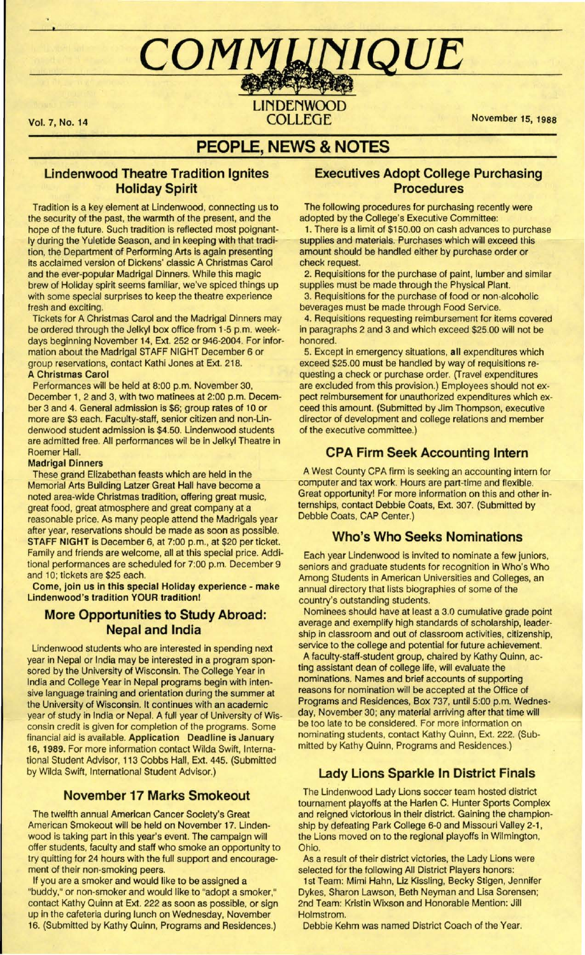# COMMUNIQUE

# LINDENWOOD Vol. 7, No. 14 COLLEGE November 15, 1988

# **PEOPLE, NEWS & NOTES**

## **Lindenwood Theatre Tradition Ignites Holiday Spirit**

Tradition is a key element at Lindenwood, connecting us to the security of the past, the warmth of the present, and the hope of the future. Such tradition is reflected most poignantly during the Yuletide Season, and in keeping with that tradition, the Department of Performing Arts is again presenting its acclaimed version of Dickens' classic A Christmas Carol and the ever-popular Madrigal Dinners. While this magic brew of Holiday spirit seems familiar, we've spiced things up with some special surprises to keep the theatre experience fresh and exciting.

Tickets for A Christmas Carol and the Madrigal Dinners may be ordered through the Jelkyl box office from 1-5 p.m. weekdays beginning November 14, Ext. 252 or 946-2004. For information about the Madrigal STAFF NIGHT December 6 or group reservations, contact Kathi Jones at Ext. 218. **A Christmas Carol** 

Performances will be held at 8:00 p.m. November 30, December 1, 2 and 3, with two matinees at 2:00 p.m. December 3 and 4. General admission is \$6; group rates of 10 or more are \$3 each. Faculty-staff, senior citizen and non-Lindenwood student admission is \$4.50. Lindenwood students are admitted free. All performances wil be in Jelkyl Theatre in Roemer Hall.

#### **Madrigal Dinners**

These grand Elizabethan feasts which are held in the Memorial Arts Building Latzer Great Hall have become a noted area-wide Christmas tradition, offering great music, great food, great atmosphere and great company at a reasonable price. As many people attend the Madrigals year after year, reservations should be made as soon as possible. STAFF NIGHT is December 6, at 7:00 p.m., at \$20 per ticket. Family and friends are welcome, all at this special price. Additional performances are scheduled for 7:00 p.m. December 9 and 10; tickets are \$25 each.

**Come, join us in this special Holiday experience** - **make Lindenwood's tradition YOUR tradition!** 

## **More Opportunities to Study Abroad: Nepal and India**

Lindenwood students who are interested in spending next year in Nepal or India may be interested in a program sponsored by the University of Wisconsin. The College Year in India and College Year in Nepal programs begin with intensive language training and orientation during the summer at the University of Wisconsin. It continues with an academic year of study in India or Nepal. A full year of University of Wisconsin credit is given for completion of the programs. Some financial aid is available. **Application Deadline is January 16, 1989.** For more information contact Wilda Swift, International Student Advisor, 113 Cobbs Hall, Ext. 445. (Submitted by Wilda Swift, International Student Advisor.)

## **November 17 Marks Smokeout**

The twelfth annual American Cancer Society's Great American Smokeout will be held on November 17. Lindenwood is taking part in this year's event. The campaign will offer students, faculty and staff who smoke an opportunity to try quitting for 24 hours with the full support and encouragement of their non-smoking peers.

If you are a smoker and would like to be assigned a "buddy," or non-smoker and would like to "adopt a smoker," contact Kathy Quinn at Ext. 222 as soon as possible, or sign up in the cafeteria during lunch on Wednesday, November 16. (Submitted by Kathy Quinn, Programs and Residences.)

## **Executives Adopt College Purchasing Procedures**

The following procedures for purchasing recently were adopted by the College's Executive Committee:

1. There is a limit of \$150.00 on cash advances to purchase supplies and materials. Purchases which will exceed this amount should be handled either by purchase order or check request.

2. Requisitions for the purchase of paint, lumber and similar supplies must be made through the Physical Plant.

3. Requisitions for the purchase of food or non-alcoholic beverages must be made through Food Service.

4. Requisitions requesting reimbursement for items covered in paragraphs 2 and 3 and which exceed \$25.00 will not be honored.

5. Except in emergency situations, **all** expenditures which exceed \$25.00 must be handled by way of requisitions requesting a check or purchase order. (Travel expenditures are excluded from this provision.) Employees should not expect reimbursement for unauthorized expenditures which exceed this amount. (Submitted by Jim Thompson, executive director of development and college relations and member of the executive committee.)

## **CPA Firm Seek Accounting Intern**

A West County CPA firm is seeking an accounting intern for computer and tax work. Hours are part-time and flexible. Great opportunity! For more information on this and other internships, contact Debbie Coats, Ext. 307. (Submitted by Debbie Coats, CAP Center.)

## **Who's Who Seeks Nominations**

Each year Lindenwood is invited to nominate a few juniors, seniors and graduate students for recognition in Who's Who Among Students in American Universities and Colleges, an annual directory that lists biographies of some of the country's outstanding students.

Nominees should have at least a 3.0 cumulative grade point average and exemplify high standards of scholarship, leadership in classroom and out of classroom activities, citizenship, service to the college and potential for future achievement.

A faculty-staff-student group, chaired by Kathy Quinn, acting assistant dean of college life, will evaluate the nominations. Names and brief accounts of supporting reasons for nomination will be accepted at the Office of Programs and Residences, Box 737, until 5:00 p.m. Wednesday, November 30; any material arriving after that time will be too late to be considered. For more information on nominating students, contact Kathy Quinn, Ext. 222. (Submitted by Kathy Quinn, Programs and Residences.)

## **Lady Lions Sparkle In District Finals**

The Lindenwood Lady Lions soccer team hosted district tournament playoffs at the Harlen C. Hunter Sports Complex and reigned victorious in their district. Gaining the championship by defeating Park College 6-0 and Missouri Valley 2-1, the Lions moved on to the regional playoffs in Wilmington, Ohio.

As a result of their district victories, the Lady Lions were selected for the following All District Players honors:

1st Team: Mimi Hahn, Liz Kissling, Becky Stigen, Jennifer Dykes, Sharon Lawson, Beth Neyman and Lisa Sorensen; 2nd Team: Kristin Wixson and Honorable Mention: Jill **Holmstrom** 

Debbie Kehm was named District Coach of the Year.